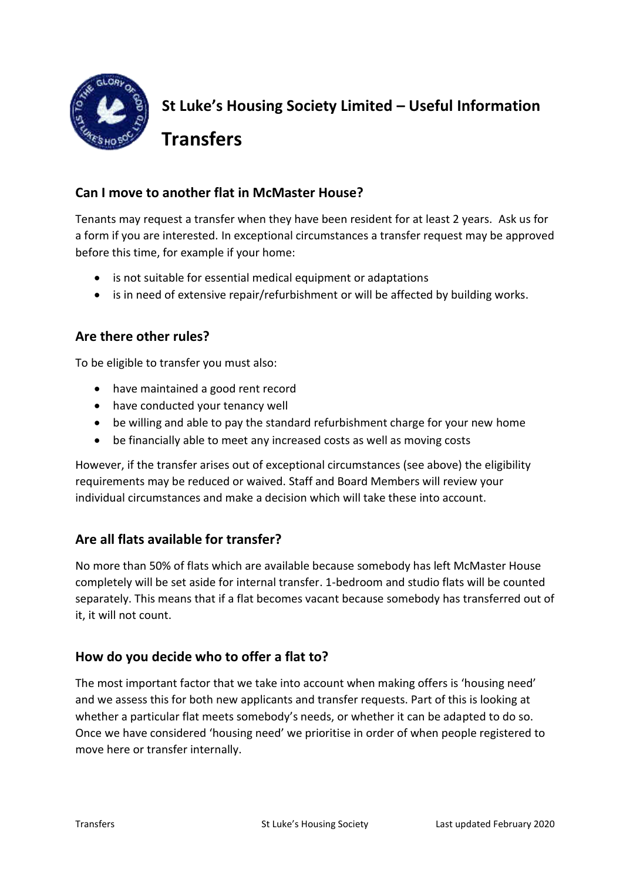

**St Luke's Housing Society Limited – Useful Information Transfers** 

## **Can I move to another flat in McMaster House?**

Tenants may request a transfer when they have been resident for at least 2 years. Ask us for a form if you are interested. In exceptional circumstances a transfer request may be approved before this time, for example if your home:

- is not suitable for essential medical equipment or adaptations
- is in need of extensive repair/refurbishment or will be affected by building works.

### **Are there other rules?**

To be eligible to transfer you must also:

- have maintained a good rent record
- have conducted your tenancy well
- be willing and able to pay the standard refurbishment charge for your new home
- be financially able to meet any increased costs as well as moving costs

However, if the transfer arises out of exceptional circumstances (see above) the eligibility requirements may be reduced or waived. Staff and Board Members will review your individual circumstances and make a decision which will take these into account.

# **Are all flats available for transfer?**

No more than 50% of flats which are available because somebody has left McMaster House completely will be set aside for internal transfer. 1-bedroom and studio flats will be counted separately. This means that if a flat becomes vacant because somebody has transferred out of it, it will not count.

### **How do you decide who to offer a flat to?**

The most important factor that we take into account when making offers is 'housing need' and we assess this for both new applicants and transfer requests. Part of this is looking at whether a particular flat meets somebody's needs, or whether it can be adapted to do so. Once we have considered 'housing need' we prioritise in order of when people registered to move here or transfer internally.